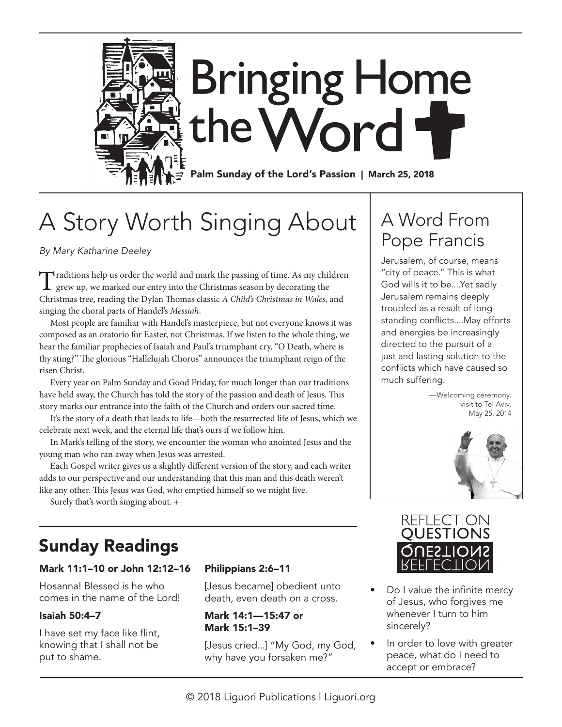

# A Story Worth Singing About

*By Mary Katharine Deeley*

Traditions help us order the world and mark the passing of time. As my children grew up, we marked our entry into the Christmas season by decorating the Christmas tree, reading the Dylan Thomas classic *A Child's Christmas in Wales*, and singing the choral parts of Handel's *Messiah*.

Most people are familiar with Handel's masterpiece, but not everyone knows it was composed as an oratorio for Easter, not Christmas. If we listen to the whole thing, we hear the familiar prophecies of Isaiah and Paul's triumphant cry, "O Death, where is thy sting?" The glorious "Hallelujah Chorus" announces the triumphant reign of the risen Christ.

Every year on Palm Sunday and Good Friday, for much longer than our traditions have held sway, the Church has told the story of the passion and death of Jesus. This story marks our entrance into the faith of the Church and orders our sacred time.

It's the story of a death that leads to life—both the resurrected life of Jesus, which we celebrate next week, and the eternal life that's ours if we follow him.

In Mark's telling of the story, we encounter the woman who anointed Jesus and the young man who ran away when Jesus was arrested.

Each Gospel writer gives us a slightly different version of the story, and each writer adds to our perspective and our understanding that this man and this death weren't like any other. This Jesus was God, who emptied himself so we might live.

Surely that's worth singing about. +

# Sunday Readings

### Mark 11:1–10 or John 12:12–16

Hosanna! Blessed is he who comes in the name of the Lord!

### Isaiah 50:4–7

I have set my face like flint, knowing that I shall not be put to shame.

### Philippians 2:6–11

[Jesus became] obedient unto death, even death on a cross.

#### Mark 14:1—15:47 or Mark 15:1–39

[Jesus cried...] "My God, my God, why have you forsaken me?"

# A Word From Pope Francis

Jerusalem, of course, means "city of peace." This is what God wills it to be....Yet sadly Jerusalem remains deeply troubled as a result of longstanding conflicts....May efforts and energies be increasingly directed to the pursuit of a just and lasting solution to the conflicts which have caused so much suffering.

> —Welcoming ceremony, visit to Tel Aviv, May 25, 2014





- Do I value the infinite mercy of Jesus, who forgives me whenever I turn to him sincerely?
- In order to love with greater peace, what do I need to accept or embrace?